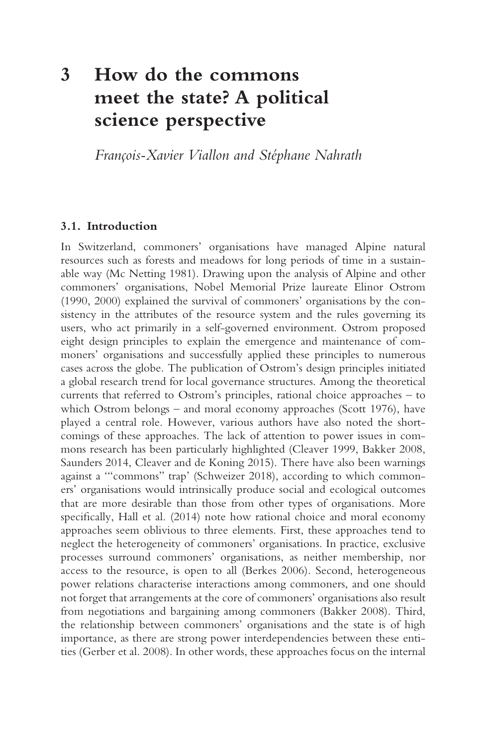# **3 How do the commons meet the state? A political science perspective**

*François-Xavier Viallon and Stéphane Nahrath* 

### **3.1. Introduction**

In Switzerland, commoners' organisations have managed Alpine natural resources such as forests and meadows for long periods of time in a sustainable way (Mc Netting 1981). Drawing upon the analysis of Alpine and other commoners' organisations, Nobel Memorial Prize laureate Elinor Ostrom (1990, 2000) explained the survival of commoners' organisations by the consistency in the attributes of the resource system and the rules governing its users, who act primarily in a self-governed environment. Ostrom proposed eight design principles to explain the emergence and maintenance of commoners' organisations and successfully applied these principles to numerous cases across the globe. The publication of Ostrom's design principles initiated a global research trend for local governance structures. Among the theoretical currents that referred to Ostrom's principles, rational choice approaches – to which Ostrom belongs – and moral economy approaches (Scott 1976), have played a central role. However, various authors have also noted the shortcomings of these approaches. The lack of attention to power issues in commons research has been particularly highlighted (Cleaver 1999, Bakker 2008, Saunders 2014, Cleaver and de Koning 2015). There have also been warnings against a '"commons" trap' (Schweizer 2018), according to which commoners' organisations would intrinsically produce social and ecological outcomes that are more desirable than those from other types of organisations. More specifcally, Hall et al. (2014) note how rational choice and moral economy approaches seem oblivious to three elements. First, these approaches tend to neglect the heterogeneity of commoners' organisations. In practice, exclusive processes surround commoners' organisations, as neither membership, nor access to the resource, is open to all (Berkes 2006). Second, heterogeneous power relations characterise interactions among commoners, and one should not forget that arrangements at the core of commoners' organisations also result from negotiations and bargaining among commoners (Bakker 2008). Third, the relationship between commoners' organisations and the state is of high importance, as there are strong power interdependencies between these entities (Gerber et al. 2008). In other words, these approaches focus on the internal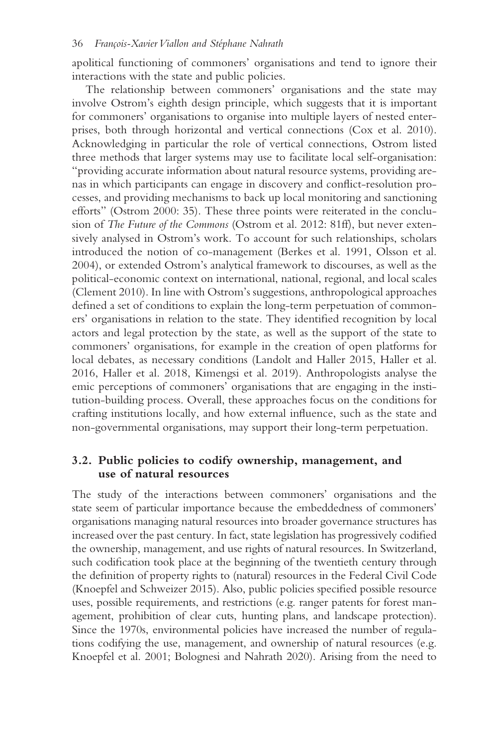apolitical functioning of commoners' organisations and tend to ignore their interactions with the state and public policies.

The relationship between commoners' organisations and the state may involve Ostrom's eighth design principle, which suggests that it is important for commoners' organisations to organise into multiple layers of nested enterprises, both through horizontal and vertical connections (Cox et al. 2010). Acknowledging in particular the role of vertical connections, Ostrom listed three methods that larger systems may use to facilitate local self-organisation: "providing accurate information about natural resource systems, providing arenas in which participants can engage in discovery and confict-resolution processes, and providing mechanisms to back up local monitoring and sanctioning efforts" (Ostrom 2000: 35). These three points were reiterated in the conclusion of *The Future of the Commons* (Ostrom et al. 2012: 81ff), but never extensively analysed in Ostrom's work. To account for such relationships, scholars introduced the notion of co-management (Berkes et al. 1991, Olsson et al. 2004), or extended Ostrom's analytical framework to discourses, as well as the political-economic context on international, national, regional, and local scales (Clement 2010). In line with Ostrom's suggestions, anthropological approaches defned a set of conditions to explain the long-term perpetuation of commoners' organisations in relation to the state. They identifed recognition by local actors and legal protection by the state, as well as the support of the state to commoners' organisations, for example in the creation of open platforms for local debates, as necessary conditions (Landolt and Haller 2015, Haller et al. 2016, Haller et al. 2018, Kimengsi et al. 2019). Anthropologists analyse the emic perceptions of commoners' organisations that are engaging in the institution-building process. Overall, these approaches focus on the conditions for crafting institutions locally, and how external infuence, such as the state and non-governmental organisations, may support their long-term perpetuation.

#### **3.2. Public policies to codify ownership, management, and use of natural resources**

The study of the interactions between commoners' organisations and the state seem of particular importance because the embeddedness of commoners' organisations managing natural resources into broader governance structures has increased over the past century. In fact, state legislation has progressively codifed the ownership, management, and use rights of natural resources. In Switzerland, such codifcation took place at the beginning of the twentieth century through the defnition of property rights to (natural) resources in the Federal Civil Code (Knoepfel and Schweizer 2015). Also, public policies specifed possible resource uses, possible requirements, and restrictions (e.g. ranger patents for forest management, prohibition of clear cuts, hunting plans, and landscape protection). Since the 1970s, environmental policies have increased the number of regulations codifying the use, management, and ownership of natural resources (e.g. Knoepfel et al. 2001; Bolognesi and Nahrath 2020). Arising from the need to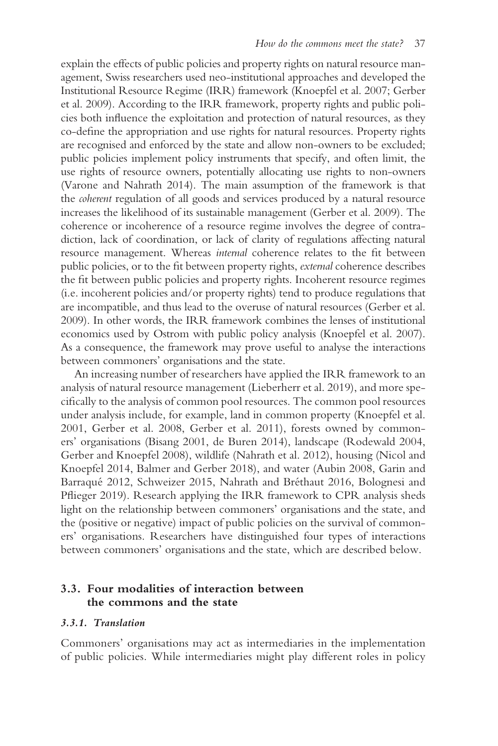explain the effects of public policies and property rights on natural resource management, Swiss researchers used neo-institutional approaches and developed the Institutional Resource Regime (IRR) framework (Knoepfel et al. 2007; Gerber et al. 2009). According to the IRR framework, property rights and public policies both infuence the exploitation and protection of natural resources, as they co-defne the appropriation and use rights for natural resources. Property rights are recognised and enforced by the state and allow non-owners to be excluded; public policies implement policy instruments that specify, and often limit, the use rights of resource owners, potentially allocating use rights to non-owners (Varone and Nahrath 2014). The main assumption of the framework is that the *coherent* regulation of all goods and services produced by a natural resource increases the likelihood of its sustainable management (Gerber et al. 2009). The coherence or incoherence of a resource regime involves the degree of contradiction, lack of coordination, or lack of clarity of regulations affecting natural resource management. Whereas *internal* coherence relates to the fit between public policies, or to the ft between property rights, *external* coherence describes the fit between public policies and property rights. Incoherent resource regimes (i.e. incoherent policies and/or property rights) tend to produce regulations that are incompatible, and thus lead to the overuse of natural resources (Gerber et al. 2009). In other words, the IRR framework combines the lenses of institutional economics used by Ostrom with public policy analysis (Knoepfel et al. 2007). As a consequence, the framework may prove useful to analyse the interactions between commoners' organisations and the state.

An increasing number of researchers have applied the IRR framework to an analysis of natural resource management (Lieberherr et al. 2019), and more specifcally to the analysis of common pool resources. The common pool resources under analysis include, for example, land in common property (Knoepfel et al. 2001, Gerber et al. 2008, Gerber et al. 2011), forests owned by commoners' organisations (Bisang 2001, de Buren 2014), landscape (Rodewald 2004, Gerber and Knoepfel 2008), wildlife (Nahrath et al. 2012), housing (Nicol and Knoepfel 2014, Balmer and Gerber 2018), and water (Aubin 2008, Garin and Barraqué 2012, Schweizer 2015, Nahrath and Bréthaut 2016, Bolognesi and Pfieger 2019). Research applying the IRR framework to CPR analysis sheds light on the relationship between commoners' organisations and the state, and the (positive or negative) impact of public policies on the survival of commoners' organisations. Researchers have distinguished four types of interactions between commoners' organisations and the state, which are described below.

#### **3.3. Four modalities of interaction between the commons and the state**

#### *3.3.1. Translation*

Commoners' organisations may act as intermediaries in the implementation of public policies. While intermediaries might play different roles in policy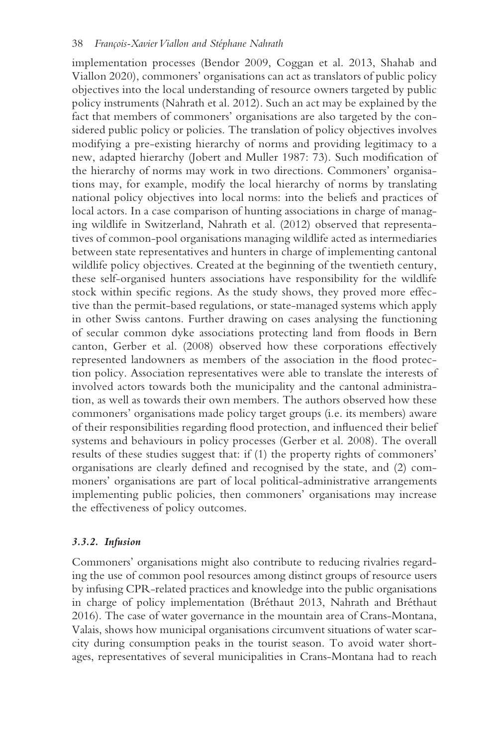implementation processes (Bendor 2009, Coggan et al. 2013, Shahab and Viallon 2020), commoners' organisations can act as translators of public policy objectives into the local understanding of resource owners targeted by public policy instruments (Nahrath et al. 2012). Such an act may be explained by the fact that members of commoners' organisations are also targeted by the considered public policy or policies. The translation of policy objectives involves modifying a pre-existing hierarchy of norms and providing legitimacy to a new, adapted hierarchy (Jobert and Muller 1987: 73). Such modifcation of the hierarchy of norms may work in two directions. Commoners' organisations may, for example, modify the local hierarchy of norms by translating national policy objectives into local norms: into the beliefs and practices of local actors. In a case comparison of hunting associations in charge of managing wildlife in Switzerland, Nahrath et al. (2012) observed that representatives of common-pool organisations managing wildlife acted as intermediaries between state representatives and hunters in charge of implementing cantonal wildlife policy objectives. Created at the beginning of the twentieth century, these self-organised hunters associations have responsibility for the wildlife stock within specifc regions. As the study shows, they proved more effective than the permit-based regulations, or state-managed systems which apply in other Swiss cantons. Further drawing on cases analysing the functioning of secular common dyke associations protecting land from foods in Bern canton, Gerber et al. (2008) observed how these corporations effectively represented landowners as members of the association in the food protection policy. Association representatives were able to translate the interests of involved actors towards both the municipality and the cantonal administration, as well as towards their own members. The authors observed how these commoners' organisations made policy target groups (i.e. its members) aware of their responsibilities regarding food protection, and infuenced their belief systems and behaviours in policy processes (Gerber et al. 2008). The overall results of these studies suggest that: if (1) the property rights of commoners' organisations are clearly defned and recognised by the state, and (2) commoners' organisations are part of local political-administrative arrangements implementing public policies, then commoners' organisations may increase the effectiveness of policy outcomes.

#### *3.3.2. Infusion*

Commoners' organisations might also contribute to reducing rivalries regarding the use of common pool resources among distinct groups of resource users by infusing CPR-related practices and knowledge into the public organisations in charge of policy implementation (Bréthaut 2013, Nahrath and Bréthaut 2016). The case of water governance in the mountain area of Crans-Montana, Valais, shows how municipal organisations circumvent situations of water scarcity during consumption peaks in the tourist season. To avoid water shortages, representatives of several municipalities in Crans-Montana had to reach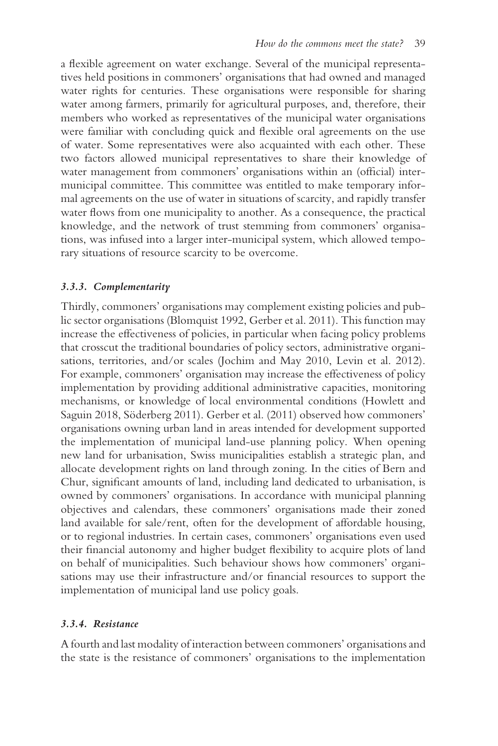a fexible agreement on water exchange. Several of the municipal representatives held positions in commoners' organisations that had owned and managed water rights for centuries. These organisations were responsible for sharing water among farmers, primarily for agricultural purposes, and, therefore, their members who worked as representatives of the municipal water organisations were familiar with concluding quick and fexible oral agreements on the use of water. Some representatives were also acquainted with each other. These two factors allowed municipal representatives to share their knowledge of water management from commoners' organisations within an (official) intermunicipal committee. This committee was entitled to make temporary informal agreements on the use of water in situations of scarcity, and rapidly transfer water flows from one municipality to another. As a consequence, the practical knowledge, and the network of trust stemming from commoners' organisations, was infused into a larger inter-municipal system, which allowed temporary situations of resource scarcity to be overcome.

#### *3.3.3. Complementarity*

Thirdly, commoners' organisations may complement existing policies and public sector organisations (Blomquist 1992, Gerber et al. 2011). This function may increase the effectiveness of policies, in particular when facing policy problems that crosscut the traditional boundaries of policy sectors, administrative organisations, territories, and/or scales (Jochim and May 2010, Levin et al. 2012). For example, commoners' organisation may increase the effectiveness of policy implementation by providing additional administrative capacities, monitoring mechanisms, or knowledge of local environmental conditions (Howlett and Saguin 2018, Söderberg 2011). Gerber et al. (2011) observed how commoners' organisations owning urban land in areas intended for development supported the implementation of municipal land-use planning policy. When opening new land for urbanisation, Swiss municipalities establish a strategic plan, and allocate development rights on land through zoning. In the cities of Bern and Chur, signifcant amounts of land, including land dedicated to urbanisation, is owned by commoners' organisations. In accordance with municipal planning objectives and calendars, these commoners' organisations made their zoned land available for sale/rent, often for the development of affordable housing, or to regional industries. In certain cases, commoners' organisations even used their fnancial autonomy and higher budget fexibility to acquire plots of land on behalf of municipalities. Such behaviour shows how commoners' organisations may use their infrastructure and/or fnancial resources to support the implementation of municipal land use policy goals.

#### *3.3.4. Resistance*

A fourth and last modality of interaction between commoners' organisations and the state is the resistance of commoners' organisations to the implementation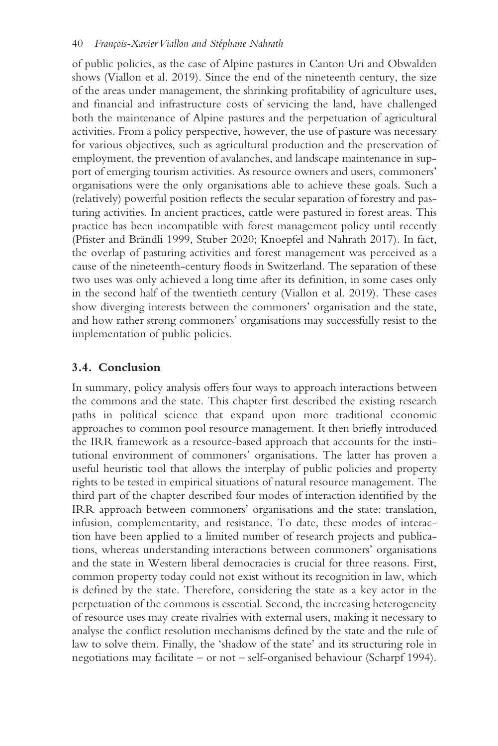of public policies, as the case of Alpine pastures in Canton Uri and Obwalden shows (Viallon et al. 2019). Since the end of the nineteenth century, the size of the areas under management, the shrinking proftability of agriculture uses, and fnancial and infrastructure costs of servicing the land, have challenged both the maintenance of Alpine pastures and the perpetuation of agricultural activities. From a policy perspective, however, the use of pasture was necessary for various objectives, such as agricultural production and the preservation of employment, the prevention of avalanches, and landscape maintenance in support of emerging tourism activities. As resource owners and users, commoners' organisations were the only organisations able to achieve these goals. Such a (relatively) powerful position refects the secular separation of forestry and pasturing activities. In ancient practices, cattle were pastured in forest areas. This practice has been incompatible with forest management policy until recently (Pfster and Brändli 1999, Stuber 2020; Knoepfel and Nahrath 2017). In fact, the overlap of pasturing activities and forest management was perceived as a cause of the nineteenth-century foods in Switzerland. The separation of these two uses was only achieved a long time after its defnition, in some cases only in the second half of the twentieth century (Viallon et al. 2019). These cases show diverging interests between the commoners' organisation and the state, and how rather strong commoners' organisations may successfully resist to the implementation of public policies.

## **3.4. Conclusion**

In summary, policy analysis offers four ways to approach interactions between the commons and the state. This chapter frst described the existing research paths in political science that expand upon more traditional economic approaches to common pool resource management. It then briefy introduced the IRR framework as a resource-based approach that accounts for the institutional environment of commoners' organisations. The latter has proven a useful heuristic tool that allows the interplay of public policies and property rights to be tested in empirical situations of natural resource management. The third part of the chapter described four modes of interaction identifed by the IRR approach between commoners' organisations and the state: translation, infusion, complementarity, and resistance. To date, these modes of interaction have been applied to a limited number of research projects and publications, whereas understanding interactions between commoners' organisations and the state in Western liberal democracies is crucial for three reasons. First, common property today could not exist without its recognition in law, which is defned by the state. Therefore, considering the state as a key actor in the perpetuation of the commons is essential. Second, the increasing heterogeneity of resource uses may create rivalries with external users, making it necessary to analyse the confict resolution mechanisms defned by the state and the rule of law to solve them. Finally, the 'shadow of the state' and its structuring role in negotiations may facilitate – or not – self-organised behaviour (Scharpf 1994).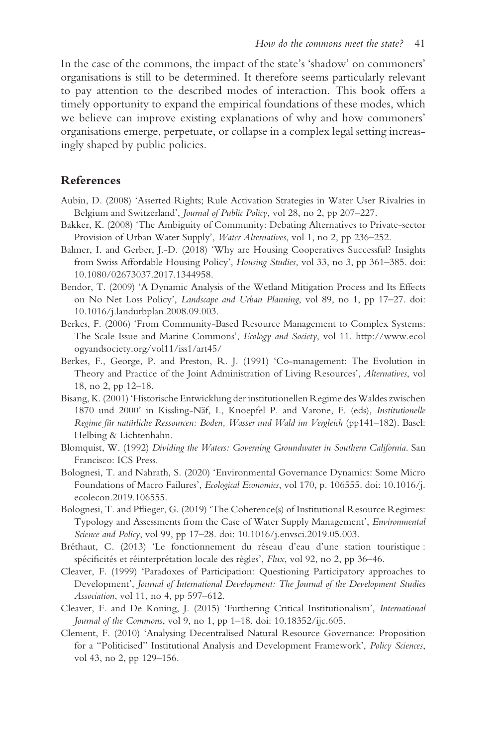In the case of the commons, the impact of the state's 'shadow' on commoners' organisations is still to be determined. It therefore seems particularly relevant to pay attention to the described modes of interaction. This book offers a timely opportunity to expand the empirical foundations of these modes, which we believe can improve existing explanations of why and how commoners' organisations emerge, perpetuate, or collapse in a complex legal setting increasingly shaped by public policies.

#### **References**

- Aubin, D. (2008) 'Asserted Rights; Rule Activation Strategies in Water User Rivalries in Belgium and Switzerland', *Journal of Public Policy*, vol 28, no 2, pp 207–227.
- Bakker, K. (2008) 'The Ambiguity of Community: Debating Alternatives to Private-sector Provision of Urban Water Supply', *Water Alternatives*, vol 1, no 2, pp 236–252.
- Balmer, I. and Gerber, J.-D. (2018) 'Why are Housing Cooperatives Successful? Insights [from Swiss Affordable Housing Policy',](https://doi.org/10.1080/02673037.2017.1344958) *Housing Studies*, vol 33, no 3, pp 361–385. doi: 10.1080/02673037.2017.1344958.
- Bendor, T. (2009) 'A Dynamic Analysis of the Wetland Mitigation Process and Its Effects on No Net Loss Policy', *Landscape and Urban Planning*, vol 89, no 1, pp 17–27. doi: [10.1016/j.landurbplan.2008.09.003.](https://doi.org/10.1016/j.landurbplan.2008.09.003)
- The Scale Issue and Marine Commons', *Ecology and Society*, vol 11. [http://www.ecol](http://www.ecologyandsociety.org) [ogyandsociety.org/vol11/iss1/art45/](http://www.ecologyandsociety.org) Berkes, F. (2006) 'From Community-Based Resource Management to Complex Systems:
- Berkes, F., George, P. and Preston, R. J. (1991) 'Co-management: The Evolution in Theory and Practice of the Joint Administration of Living Resources', *Alternatives*, vol 18, no 2, pp 12–18.
- Bisang, K. (2001) 'Historische Entwicklung der institutionellen Regime des Waldes zwischen 1870 und 2000' in Kissling-Näf, I., Knoepfel P. and Varone, F. (eds), *Institutionelle Regime für natürliche Ressourcen: Boden, Wasser und Wald im Vergleich* (pp141–182). Basel: Helbing & Lichtenhahn.
- Blomquist, W. (1992) *Dividing the Waters: Governing Groundwater in Southern California*. San Francisco: ICS Press.
- Bolognesi, T. and Nahrath, S. (2020) 'Environmental Governance Dynamics: Some Micro Foundations of Macro Failures', *Ecological Economics*[, vol 170, p.](https://doi.org/10.1016/j.ecolecon.2019.106555) [106555](http://dx.doi.org/106555)[. doi: 10.1016/j.](https://doi.org/10.1016/j.ecolecon.2019.106555) ecolecon.2019.106555.
- Bolognesi, T. and Pfieger, G. (2019) 'The Coherence(s) of Institutional Resource Regimes: Typology and Assessments from the Case of Water Supply Management', *Environmental Science and Policy*, vol 99, pp 17–28. doi: [10.1016/j.envsci.2019.05.003.](https://doi.org/10.1016/j.envsci.2019.05.003)
- Bréthaut, C. (2013) 'Le fonctionnement du réseau d'eau d'une station touristique : spécifcités et réinterprétation locale des règles', *Flux*, vol 92, no 2, pp 36–46.
- Cleaver, F. (1999) 'Paradoxes of Participation: Questioning Participatory approaches to Development', *Journal of International Development: The Journal of the Development Studies Association*, vol 11, no 4, pp 597–612.
- Cleaver, F. and De Koning, J. (2015) 'Furthering Critical Institutionalism', *International Journal of the Commons*, vol 9, no 1, pp 1–18. doi: [10.18352/ijc.605.](https://doi.org/10.18352/ijc.605)
- Clement, F. (2010) 'Analysing Decentralised Natural Resource Governance: Proposition for a "Politicised" Institutional Analysis and Development Framework', *Policy Sciences*, vol 43, no 2, pp 129–156.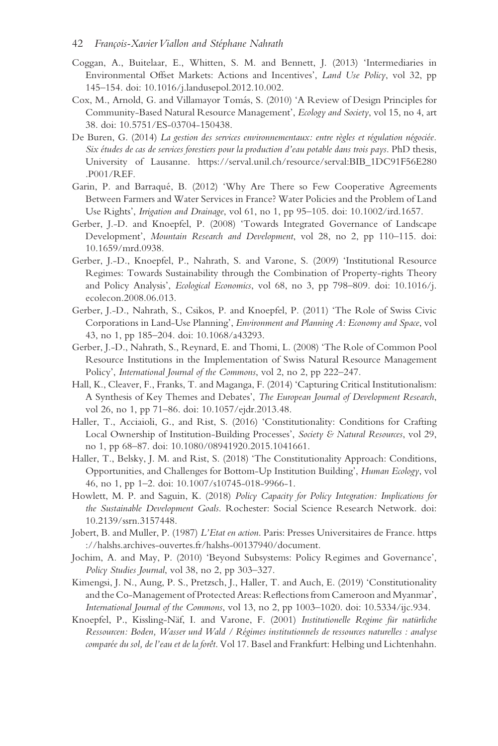#### 42 *François-Xavier Viallon and Stéphane Nahrath*

- Coggan, A., Buitelaar, E., Whitten, S. M. and Bennett, J. (2013) 'Intermediaries in Environmental Offset Markets: Actions and Incentives', *Land Use Policy*, vol 32, pp 145–154. doi: [10.1016/j.landusepol.2012.10.002](https://doi.org/10.1016/j.landusepol.2012.10.002).
- Cox, M., Arnold, G. and Villamayor Tomás, S. (2010) 'A Review of Design Principles for Community-Based Natural Resource Management', *Ecology and Society*, vol 15, no 4, art 38. doi: [10.5751/ES-03704-150438.](https://doi.org/10.5751/ES-03704-150438)
- University of Lausanne. [https://serval.unil.ch/resource/serval](https://serval.unil.ch):BIB\_1DC91F56E280 De Buren, G. (2014) *La gestion des services environnementaux: entre règles et régulation négociée. Six études de cas de services forestiers pour la production d'eau potable dans trois pays*. PhD thesis, .P001/REF.
- Garin, P. and Barraqué, B. (2012) 'Why Are There so Few Cooperative Agreements Between Farmers and Water Services in France? Water Policies and the Problem of Land Use Rights', *Irrigation and Drainage*, vol 61, no 1, pp 95–105. doi: [10.1002/ird.1657](https://doi.org/10.1002/ird.1657).
- Gerber, J.-D. and Knoepfel, P. (2008) 'Towards Integrated Governance of Landscape Development', *Mountain Research and Development*, vol 28, no 2, pp 110–115. doi: [10.1659/mrd.0938.](https://doi.org/10.1659/mrd.0938)
- Gerber, J.-D., Knoepfel, P., Nahrath, S. and Varone, S. (2009) 'Institutional Resource Regimes: Towards Sustainability through the Combination of Property-rights Theory and Policy Analysis', *Ecological Economics*[, vol 68, no 3, pp 798–809. doi: 10.1016/j.](https://doi.org/10.1016/j.ecolecon.2008.06.013) ecolecon.2008.06.013.
- Gerber, J.-D., Nahrath, S., Csikos, P. and Knoepfel, P. (2011) 'The Role of Swiss Civic Corporations in Land-Use Planning', *Environment and Planning A: Economy and Space*, vol 43, no 1, pp 185–204. doi: [10.1068/a43293](https://doi.org/10.1068/a43293).
- Gerber, J.-D., Nahrath, S., Reynard, E. and Thomi, L. (2008) 'The Role of Common Pool Resource Institutions in the Implementation of Swiss Natural Resource Management Policy', *International Journal of the Commons*, vol 2, no 2, pp 222–247.
- Hall, K., Cleaver, F., Franks, T. and Maganga, F. (2014) 'Capturing Critical Institutionalism: A Synthesis of Key Themes and Debates', *The European Journal of Development Research*, vol 26, no 1, pp 71–86. doi: [10.1057/ejdr.2013.48.](https://doi.org/10.1057/ejdr.2013.48)
- Haller, T., Acciaioli, G., and Rist, S. (2016) 'Constitutionality: Conditions for Crafting Local Ownership of Institution-Building Processes', *Society & Natural Resources*, vol 29, no 1, pp 68–87. doi: [10.1080/08941920.2015.1041661.](https://doi.org/10.1080/08941920.2015.1041661)
- Haller, T., Belsky, J. M. and Rist, S. (2018) 'The Constitutionality Approach: Conditions, Opportunities, and Challenges for Bottom-Up Institution Building', *Human Ecology*, vol 46, no 1, pp 1–2. doi: [10.1007/s10745-018-9966-1](https://doi.org/10.1007/s10745-018-9966-1).
- Howlett, M. P. and Saguin, K. (2018) *Policy Capacity for Policy Integration: Implications for the Sustainable Development Goals*. Rochester: Social Science Research Network. doi: [10.2139/ssrn.3157448](https://doi.org/10.2139/ssrn.3157448).
- [://halshs.archives-ouvertes.fr/halshs-00137940/document.](https://halshs.archives-ouvertes.fr) Jobert, B. and Muller, P. (1987) *L'Etat en action*. Paris: Presses Universitaires de France. [https](https://halshs.archives-ouvertes.fr)
- Jochim, A. and May, P. (2010) 'Beyond Subsystems: Policy Regimes and Governance', *Policy Studies Journal*, vol 38, no 2, pp 303–327.
- Kimengsi, J. N., Aung, P. S., Pretzsch, J., Haller, T. and Auch, E. (2019) 'Constitutionality and the Co-Management of Protected Areas: Refections from Cameroon and Myanmar', *International Journal of the Commons*, vol 13, no 2, pp 1003–1020. doi: [10.5334/ijc.934](https://doi.org/10.5334/ijc.934).
- Knoepfel, P., Kissling-Näf, I. and Varone, F. (2001) *Institutionelle Regime für natürliche Ressourcen: Boden, Wasser und Wald / Régimes institutionnels de ressources naturelles : analyse comparée du sol, de l'eau et de la forêt*. Vol 17. Basel and Frankfurt: Helbing und Lichtenhahn.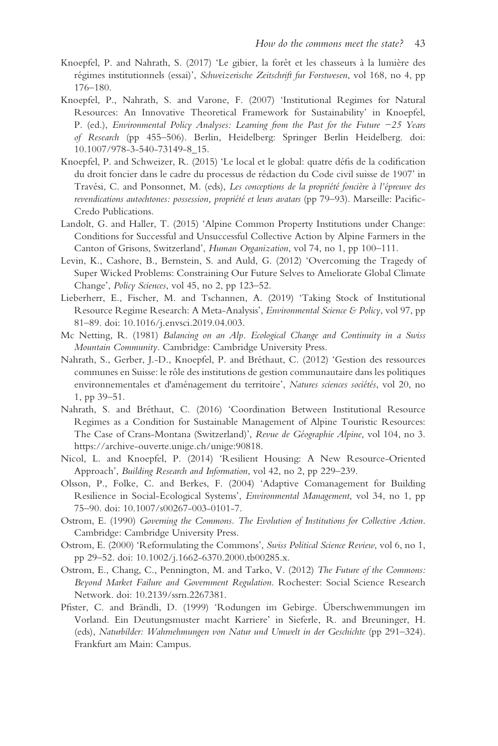- Knoepfel, P. and Nahrath, S. (2017) 'Le gibier, la forêt et les chasseurs à la lumière des régimes institutionnels (essai)', *Schweizerische Zeitschrift fur Forstwesen*, vol 168, no 4, pp 176–180.
- Knoepfel, P., Nahrath, S. and Varone, F. (2007) 'Institutional Regimes for Natural Resources: An Innovative Theoretical Framework for Sustainability' in Knoepfel, P. (ed.), *Environmental Policy Analyses: Learning from the Past for the Future −25 Years of Research* (pp 455–506). Berlin, Heidelberg: Springer Berlin Heidelberg. doi: [10.1007/978-3-540-73149-8\\_15.](https://doi.org/10.1007/978-3-540-73149-8_15)
- Knoepfel, P. and Schweizer, R. (2015) 'Le local et le global: quatre défs de la codifcation du droit foncier dans le cadre du processus de rédaction du Code civil suisse de 1907' in Travési, C. and Ponsonnet, M. (eds), *Les conceptions de la propriété foncière à l'épreuve des revendications autochtones: possession, propriété et leurs avatars* (pp 79–93). Marseille: Pacifc-Credo Publications.
- Landolt, G. and Haller, T. (2015) 'Alpine Common Property Institutions under Change: Conditions for Successful and Unsuccessful Collective Action by Alpine Farmers in the Canton of Grisons, Switzerland', *Human Organization*, vol 74, no 1, pp 100–111.
- Levin, K., Cashore, B., Bernstein, S. and Auld, G. (2012) 'Overcoming the Tragedy of Super Wicked Problems: Constraining Our Future Selves to Ameliorate Global Climate Change', *Policy Sciences*, vol 45, no 2, pp 123–52.
- Lieberherr, E., Fischer, M. and Tschannen, A. (2019) 'Taking Stock of Institutional Resource Regime Research: A Meta-Analysis', *Environmental Science & Policy*, vol 97, pp 81–89. doi: [10.1016/j.envsci.2019.04.003](https://doi.org/10.1016/j.envsci.2019.04.003).
- Mc Netting, R. (1981) *Balancing on an Alp. Ecological Change and Continuity in a Swiss Mountain Community*. Cambridge: Cambridge University Press.
- Nahrath, S., Gerber, J.-D., Knoepfel, P. and Bréthaut, C. (2012) 'Gestion des ressources communes en Suisse: le rôle des institutions de gestion communautaire dans les politiques environnementales et d'aménagement du territoire', *Natures sciences sociétés*, vol 20, no 1, pp 39–51.
- [https://archive-ouverte.unige.ch/unige](https://archive-ouverte.unige.ch):90818. Nahrath, S. and Bréthaut, C. (2016) 'Coordination Between Institutional Resource Regimes as a Condition for Sustainable Management of Alpine Touristic Resources: The Case of Crans-Montana (Switzerland)', *Revue de Géographie Alpine*, vol 104, no 3.
- Nicol, L. and Knoepfel, P. (2014) 'Resilient Housing: A New Resource-Oriented Approach', *Building Research and Information*, vol 42, no 2, pp 229–239.
- Olsson, P., Folke, C. and Berkes, F. (2004) 'Adaptive Comanagement for Building Resilience in Social-Ecological Systems', *Environmental Management*, vol 34, no 1, pp 75–90. doi: [10.1007/s00267-003-0101-7](https://doi.org/10.1007/s00267-003-0101-7).
- Ostrom, E. (1990) *Governing the Commons. The Evolution of Institutions for Collective Action*. Cambridge: Cambridge University Press.
- Ostrom, E. (2000) 'Reformulating the Commons', *Swiss Political Science Review*, vol 6, no 1, pp 29–52. doi: [10.1002/j.1662-6370.2000.tb00285.x](https://doi.org/10.1002/j.1662-6370.2000.tb00285.x).
- Ostrom, E., Chang, C., Pennington, M. and Tarko, V. (2012) *The Future of the Commons: Beyond Market Failure and Government Regulation*. Rochester: Social Science Research Network. doi: [10.2139/ssrn.2267381](https://doi.org/10.2139/ssrn.2267381).
- Pfster, C. and Brändli, D. (1999) 'Rodungen im Gebirge. Überschwemmungen im Vorland. Ein Deutungsmuster macht Karriere' in Sieferle, R. and Breuninger, H. (eds), *Naturbilder: Wahrnehmungen von Natur und Umwelt in der Geschichte* (pp 291–324). Frankfurt am Main: Campus.